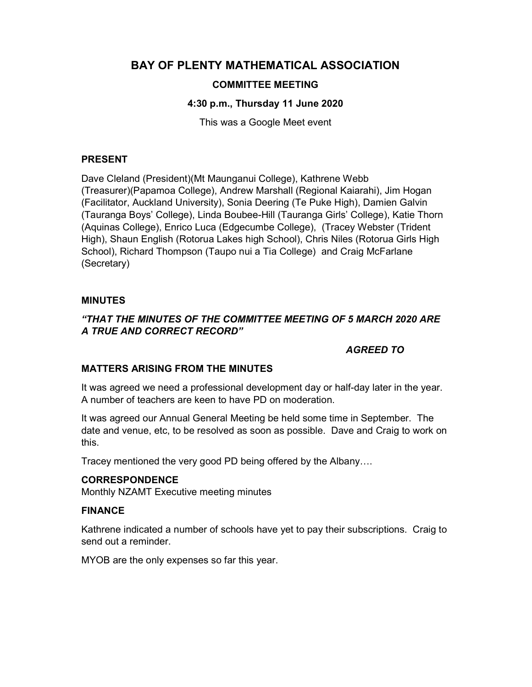# BAY OF PLENTY MATHEMATICAL ASSOCIATION

# COMMITTEE MEETING

# 4:30 p.m., Thursday 11 June 2020

This was a Google Meet event

### PRESENT

Dave Cleland (President)(Mt Maunganui College), Kathrene Webb (Treasurer)(Papamoa College), Andrew Marshall (Regional Kaiarahi), Jim Hogan (Facilitator, Auckland University), Sonia Deering (Te Puke High), Damien Galvin (Tauranga Boys' College), Linda Boubee-Hill (Tauranga Girls' College), Katie Thorn (Aquinas College), Enrico Luca (Edgecumbe College), (Tracey Webster (Trident High), Shaun English (Rotorua Lakes high School), Chris Niles (Rotorua Girls High School), Richard Thompson (Taupo nui a Tia College) and Craig McFarlane (Secretary)

# MINUTES

# "THAT THE MINUTES OF THE COMMITTEE MEETING OF 5 MARCH 2020 ARE A TRUE AND CORRECT RECORD"

# AGREED TO

#### MATTERS ARISING FROM THE MINUTES

It was agreed we need a professional development day or half-day later in the year. A number of teachers are keen to have PD on moderation.

It was agreed our Annual General Meeting be held some time in September. The date and venue, etc, to be resolved as soon as possible. Dave and Craig to work on this.

Tracey mentioned the very good PD being offered by the Albany….

#### CORRESPONDENCE

Monthly NZAMT Executive meeting minutes

#### FINANCE

Kathrene indicated a number of schools have yet to pay their subscriptions. Craig to send out a reminder.

MYOB are the only expenses so far this year.